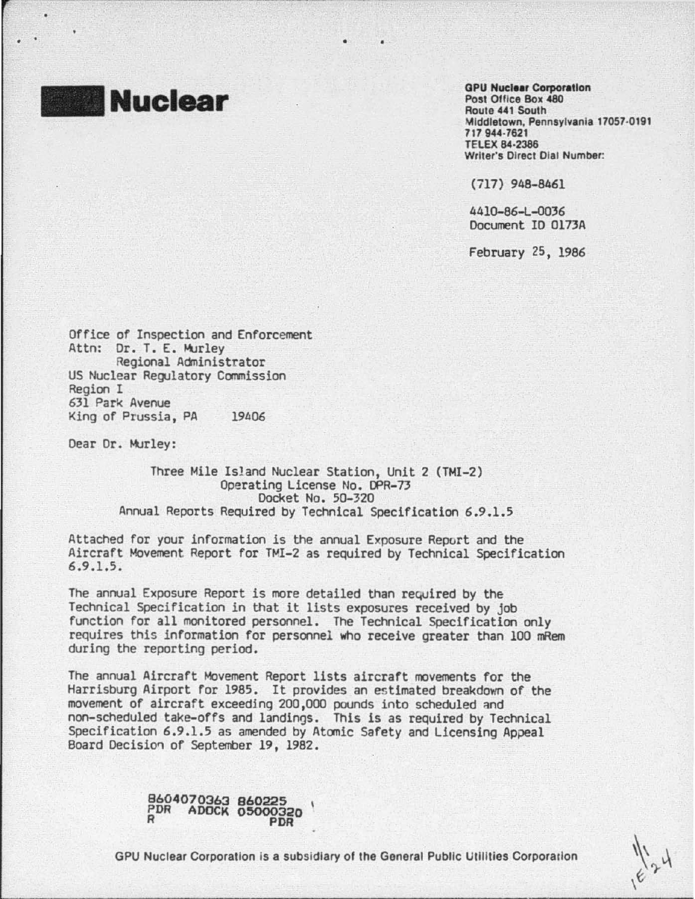**Nuclear** 

**GPU Nuclear Corporation** Post Oflice Box 480 Route 441 South Middletown, Pennsylvania 17057·0191 717 944-7621 TELEX 84·2386 Writer's Direct Dial Number:

(717) 948-8461

4410-86-L-0036 Document IO Ol73A

February 25, 1986

Office of Inspection and Enforcement Attn: Or. T. E. Murley Regional Administrator US Nuclear Regulatory Commission Region I 631 Park Avenue King of Prussia, PA 19406

Dear Dr. Murley:

Three Mile Island Nuclear Station, Unit 2 (TMI-2) Operating License No. DPR-73 Docket No. 50-320 Annual Reports Required by Technical Specification 6.9.1.5

Attached for your information is the annual Exposure Report and the Aircraft Movement Report for TMI-2 as required by Technical Specification 6.9.1.5.

The annual Exposure Report is more detailed than required by the Technical Specification in that it lists exposures received by job function for all monitored personnel. The Technical Specification only requires this information for personnel who receive greater than 100 mRem during the reporting period.

The annual Aircraft Movement Report lists aircraft movements for the Harrisburg Airport for 1985. It provides an estimated breakdown of the movement of aircraft exceeding 200,000 pounds into scheduled and non-scheduled take-offs and landings. This is as required by Technical Specification 6.9.1.5 as amended by Atomic Safety and Licensing Appeal<br>Board Decision of September 19, 1982.

8604070363 860225 PDR ADOCK 05000320 R PDR

GPU Nuclear Corporation Is a subsidiary of the General Public Utilities Corporation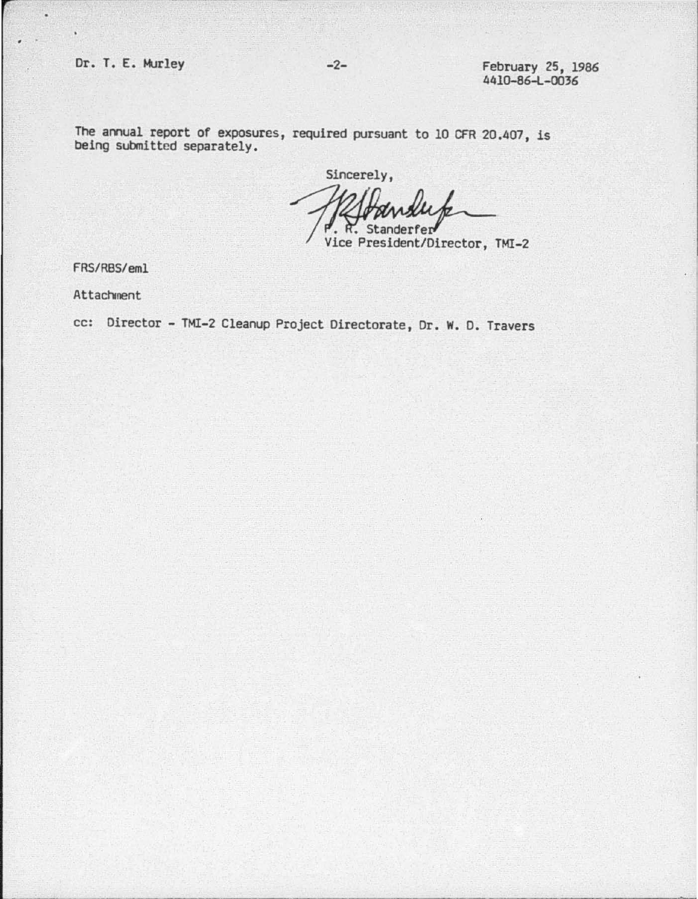$\epsilon$ 

The annual report of exposures, required pursuant to 10 CFR 20.407, is being submitted separately.

Sincerely, Standerfer Vice President/Director, TMI-2

FRS/RBS/eml

Attachment

cc: Director - TMI-2 Cleanup Project Directorate, Dr. w. D. Travers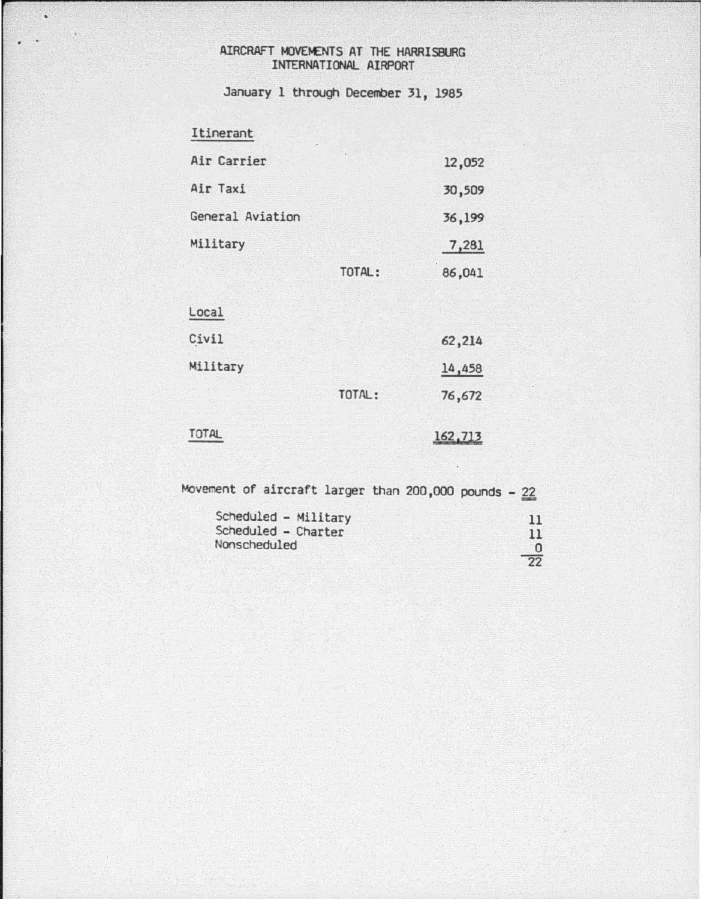## AIRCRAFT MOVEMENTS AT THE HARRISBURG INTERNATIONAL AIRPORT

January 1 through December 31, 1985

## Itinerant

 $\blacksquare$ 

|                  | TOTAL: | 86,041 |
|------------------|--------|--------|
| Military         |        | 7,281  |
| General Aviation |        | 36,199 |
| Air Taxi         |        | 30,509 |
| Air Carrier      |        | 12,052 |

| Local    |        |        |
|----------|--------|--------|
| Civil    |        | 62,214 |
| Military |        | 14,458 |
|          | TOTAL: | 76,672 |
|          |        |        |

## TOTAL

162,713

Movement of aircraft larger than 200,000 pounds -  $22$ 

| Scheduled - Military | 11              |
|----------------------|-----------------|
| Scheduled - Charter  | 11              |
| Nonscheduled         |                 |
|                      | $\overline{22}$ |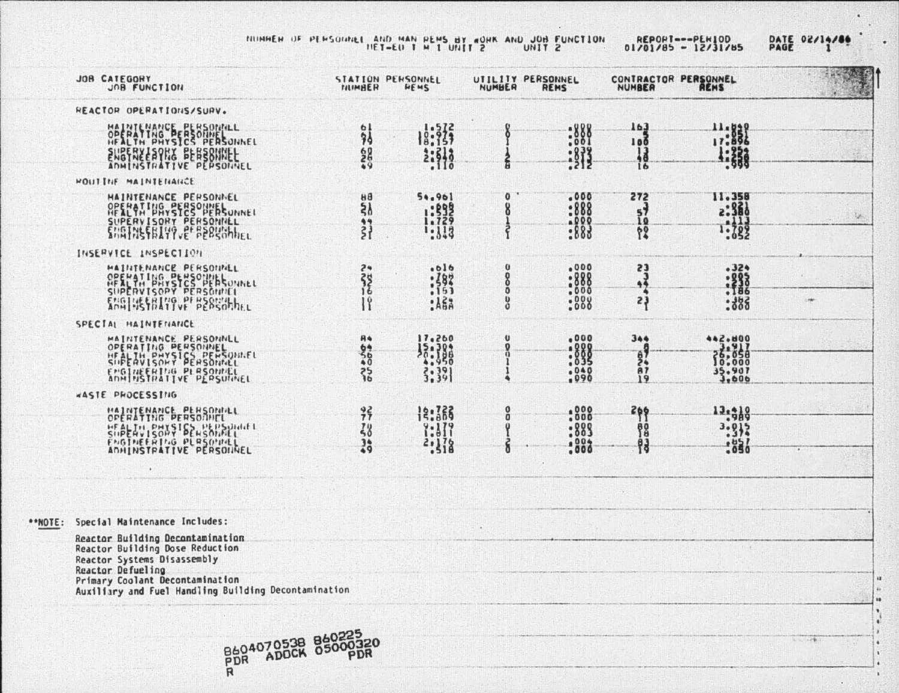NUMBER OF PERSONNE HAD MAN PEMS BY MONK AND JUST 20 HANDS 01/01/

 $\sim$  10

|  | ORT --- PERIOD |  |  |                  | DATE 02 |  |
|--|----------------|--|--|------------------|---------|--|
|  |                |  |  | $185 - 12131185$ | PAGE    |  |

|                        | DATE 02/14/86 |  |
|------------------------|---------------|--|
| $0$ and $\blacksquare$ |               |  |

w

|         | JOR CATEGORY<br>JOB FUNCTION                                                                                                           | NUMBER                                                    | STATION PERSONNEL<br>HEMS                | NUMBER              | UTILITY PERSONNEL<br>REMS           |                            | CONTRACTOR PERSONNEL             |     |
|---------|----------------------------------------------------------------------------------------------------------------------------------------|-----------------------------------------------------------|------------------------------------------|---------------------|-------------------------------------|----------------------------|----------------------------------|-----|
|         | REACTOR OPERATIONS/SURV.                                                                                                               |                                                           |                                          |                     |                                     |                            |                                  |     |
|         | MAINTENANCE PERSONNEL<br>ENGINEERY EEBERINEE                                                                                           | 혋<br>$rac{60}{600}$                                       | $\frac{1}{8}$ $\frac{5}{15}$<br>2:513    | ã                   | : 888<br>: 813                      | 163<br>100<br>1g<br>16     | 11.8820<br>1:338                 |     |
|         | HOUTINE MAINTENANCE                                                                                                                    |                                                           |                                          |                     |                                     |                            |                                  |     |
|         | <b>MAINTENANCE PERSONNEL</b><br>OPERATING SERSONNEL<br>SUPERVISORY PERSONNEL                                                           | $H^{\mathcal{B}}$<br>$\bar{\mathbf{z}}$<br>$\frac{1}{21}$ | 54.961<br>1:599<br>1:113                 | o<br>8              | .000<br>:888<br><b>A000</b><br>:883 | 272<br>51<br>10000         | 11.358<br>2:360<br>.113<br>1:782 | 锡   |
|         | INSERVICE INSPECTION                                                                                                                   |                                                           |                                          |                     |                                     |                            |                                  |     |
|         | <b>HAINTENANCE PERSONNEL<br/>OPERATING PERSONNEL</b><br>HEALTH PHYSICS PERSONNEL<br>SUPERVISOPY PERSONNEL<br>ENGLUSSBLUG PF HERSOLIALL | 24<br>38<br>$\mathbb{I}^{\varrho}$                        | .616<br>$: \frac{282}{153}$<br>$:$ $A53$ | $\bf{0}$<br>80<br>8 | .000<br>$:888$<br>$:888$<br>:888    | 23<br>$\frac{3}{2}$<br>23  | .324<br>: 28<br>:888             | ink |
|         | SPECIAL HAINTENANCE                                                                                                                    |                                                           |                                          |                     |                                     |                            |                                  |     |
|         | MAINTENANCE PERSONNEL<br>OPERATING PERSONNEL<br>ENGINEERING PLASONNEL                                                                  | 200900                                                    | $\frac{17.280}{26.188}$<br>3:39          | Ü                   | .000<br>$: 888$<br>:035<br>.040     | 344<br>$rac{67}{87}$<br>19 | 35.907                           |     |
|         | WASTE PHOCESSING                                                                                                                       |                                                           |                                          |                     |                                     |                            |                                  |     |
|         | MAINTENANCE PERSONNEL<br>519 27 150 21 22 23 24 25 27 16<br>FNGTHEFRING PLASONNEL                                                      | 37<br>38<br>$\frac{36}{9}$                                | 12:366<br>$?:\!11$<br>2.178              | 0<br>ŏ<br>ð         | :888<br>:889<br>$: 800*$            | 366<br>98<br>門             | 13.418<br>3.912<br>:850          |     |
|         |                                                                                                                                        |                                                           |                                          |                     |                                     |                            |                                  |     |
| **NOTE: | Special Maintenance Includes:                                                                                                          |                                                           |                                          |                     |                                     |                            |                                  |     |
|         | Reactor Building Decontamination<br>Reactor Building Dose Reduction.<br>Reactor Systems Disassembly<br>Reactor Defueling               |                                                           |                                          |                     |                                     |                            |                                  |     |
|         | Primary Coolant Decontamination<br>Auxiliary and Fuel Handling Building Decontamination                                                |                                                           |                                          |                     |                                     |                            |                                  |     |



The company

٠  $\ddot{\phantom{1}}$